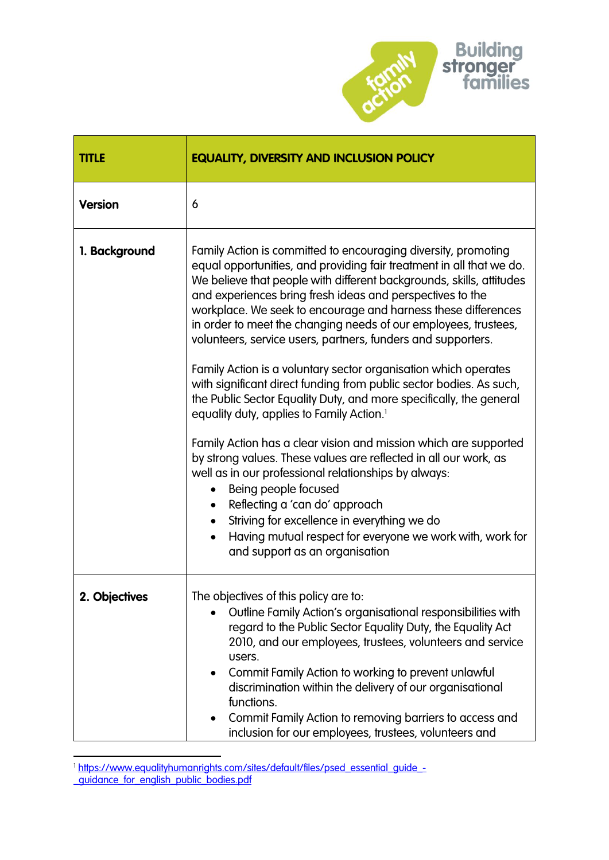

| <b>TITLE</b>   | <b>EQUALITY, DIVERSITY AND INCLUSION POLICY</b>                                                                                                                                                                                                                                                                                                                                                                                                                                                                                                                                                                                                                                                                                                                                                                                                                                                                                                                                                                                                                                                                                                                   |
|----------------|-------------------------------------------------------------------------------------------------------------------------------------------------------------------------------------------------------------------------------------------------------------------------------------------------------------------------------------------------------------------------------------------------------------------------------------------------------------------------------------------------------------------------------------------------------------------------------------------------------------------------------------------------------------------------------------------------------------------------------------------------------------------------------------------------------------------------------------------------------------------------------------------------------------------------------------------------------------------------------------------------------------------------------------------------------------------------------------------------------------------------------------------------------------------|
| <b>Version</b> | 6                                                                                                                                                                                                                                                                                                                                                                                                                                                                                                                                                                                                                                                                                                                                                                                                                                                                                                                                                                                                                                                                                                                                                                 |
| 1. Background  | Family Action is committed to encouraging diversity, promoting<br>equal opportunities, and providing fair treatment in all that we do.<br>We believe that people with different backgrounds, skills, attitudes<br>and experiences bring fresh ideas and perspectives to the<br>workplace. We seek to encourage and harness these differences<br>in order to meet the changing needs of our employees, trustees,<br>volunteers, service users, partners, funders and supporters.<br>Family Action is a voluntary sector organisation which operates<br>with significant direct funding from public sector bodies. As such,<br>the Public Sector Equality Duty, and more specifically, the general<br>equality duty, applies to Family Action. <sup>1</sup><br>Family Action has a clear vision and mission which are supported<br>by strong values. These values are reflected in all our work, as<br>well as in our professional relationships by always:<br>Being people focused<br>Reflecting a 'can do' approach<br>Striving for excellence in everything we do<br>Having mutual respect for everyone we work with, work for<br>and support as an organisation |
| 2. Objectives  | The objectives of this policy are to:<br>Outline Family Action's organisational responsibilities with<br>regard to the Public Sector Equality Duty, the Equality Act<br>2010, and our employees, trustees, volunteers and service<br>users.<br>Commit Family Action to working to prevent unlawful<br>٠<br>discrimination within the delivery of our organisational<br>functions.<br>Commit Family Action to removing barriers to access and<br>inclusion for our employees, trustees, volunteers and                                                                                                                                                                                                                                                                                                                                                                                                                                                                                                                                                                                                                                                             |

**<sup>.</sup>** 1 [https://www.equalityhumanrights.com/sites/default/files/psed\\_essential\\_guide\\_-](https://www.equalityhumanrights.com/sites/default/files/psed_essential_guide_-_guidance_for_english_public_bodies.pdf) <u>[\\_guidance\\_for\\_english\\_public\\_bodies.pdf](https://www.equalityhumanrights.com/sites/default/files/psed_essential_guide_-_guidance_for_english_public_bodies.pdf)</u>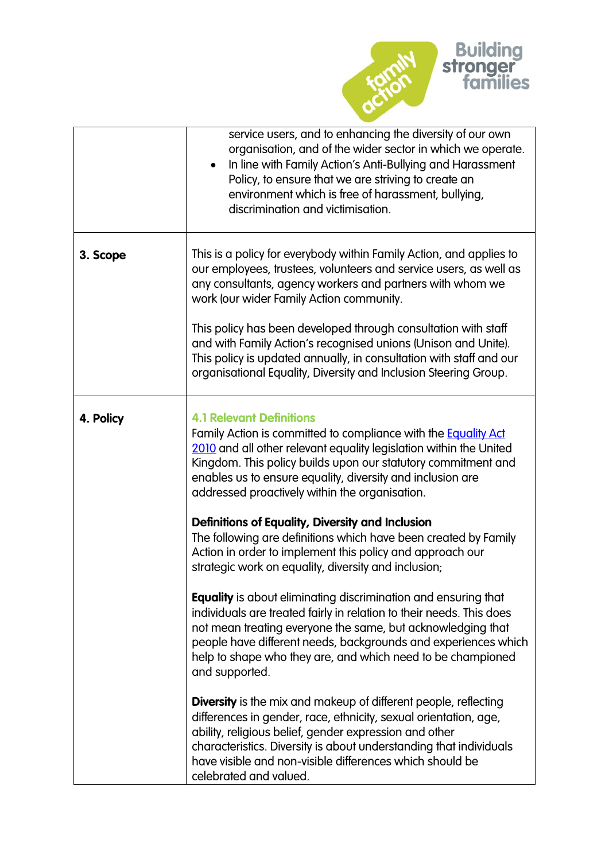

|           | service users, and to enhancing the diversity of our own<br>organisation, and of the wider sector in which we operate.<br>In line with Family Action's Anti-Bullying and Harassment<br>Policy, to ensure that we are striving to create an<br>environment which is free of harassment, bullying,<br>discrimination and victimisation.                                                                                                                                                                                            |
|-----------|----------------------------------------------------------------------------------------------------------------------------------------------------------------------------------------------------------------------------------------------------------------------------------------------------------------------------------------------------------------------------------------------------------------------------------------------------------------------------------------------------------------------------------|
| 3. Scope  | This is a policy for everybody within Family Action, and applies to<br>our employees, trustees, volunteers and service users, as well as<br>any consultants, agency workers and partners with whom we<br>work (our wider Family Action community.<br>This policy has been developed through consultation with staff<br>and with Family Action's recognised unions (Unison and Unite).<br>This policy is updated annually, in consultation with staff and our<br>organisational Equality, Diversity and Inclusion Steering Group. |
| 4. Policy | <b>4.1 Relevant Definitions</b><br>Family Action is committed to compliance with the <b>Equality Act</b><br>2010 and all other relevant equality legislation within the United<br>Kingdom. This policy builds upon our statutory commitment and<br>enables us to ensure equality, diversity and inclusion are<br>addressed proactively within the organisation.                                                                                                                                                                  |
|           | Definitions of Equality, Diversity and Inclusion<br>The following are definitions which have been created by Family<br>Action in order to implement this policy and approach our<br>strategic work on equality, diversity and inclusion;                                                                                                                                                                                                                                                                                         |
|           | <b>Equality</b> is about eliminating discrimination and ensuring that<br>individuals are treated fairly in relation to their needs. This does<br>not mean treating everyone the same, but acknowledging that<br>people have different needs, backgrounds and experiences which<br>help to shape who they are, and which need to be championed<br>and supported.                                                                                                                                                                  |
|           | <b>Diversity</b> is the mix and makeup of different people, reflecting<br>differences in gender, race, ethnicity, sexual orientation, age,<br>ability, religious belief, gender expression and other<br>characteristics. Diversity is about understanding that individuals<br>have visible and non-visible differences which should be<br>celebrated and valued.                                                                                                                                                                 |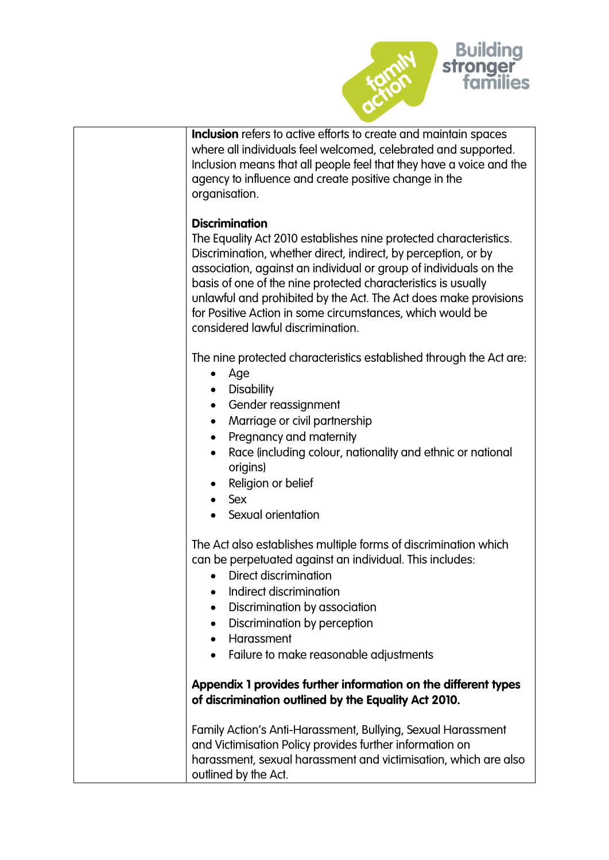

| <b>Inclusion</b> refers to active efforts to create and maintain spaces<br>where all individuals feel welcomed, celebrated and supported.<br>Inclusion means that all people feel that they have a voice and the<br>agency to influence and create positive change in the<br>organisation.                                                                                                                                                                               |
|--------------------------------------------------------------------------------------------------------------------------------------------------------------------------------------------------------------------------------------------------------------------------------------------------------------------------------------------------------------------------------------------------------------------------------------------------------------------------|
| <b>Discrimination</b><br>The Equality Act 2010 establishes nine protected characteristics.<br>Discrimination, whether direct, indirect, by perception, or by<br>association, against an individual or group of individuals on the<br>basis of one of the nine protected characteristics is usually<br>unlawful and prohibited by the Act. The Act does make provisions<br>for Positive Action in some circumstances, which would be<br>considered lawful discrimination. |
| The nine protected characteristics established through the Act are:<br>Age<br>٠<br><b>Disability</b><br>$\bullet$<br>Gender reassignment<br>Marriage or civil partnership<br>$\bullet$<br>Pregnancy and maternity<br>$\bullet$<br>Race (including colour, nationality and ethnic or national<br>$\bullet$<br>origins)<br>Religion or belief<br>Sex<br>$\bullet$<br>Sexual orientation                                                                                    |
| The Act also establishes multiple forms of discrimination which<br>can be perpetuated against an individual. This includes:<br>Direct discrimination<br>Indirect discrimination<br>Discrimination by association<br>Discrimination by perception<br>Harassment<br>Failure to make reasonable adjustments                                                                                                                                                                 |
| Appendix 1 provides further information on the different types<br>of discrimination outlined by the Equality Act 2010.<br>Family Action's Anti-Harassment, Bullying, Sexual Harassment<br>and Victimisation Policy provides further information on<br>harassment, sexual harassment and victimisation, which are also                                                                                                                                                    |
| outlined by the Act.                                                                                                                                                                                                                                                                                                                                                                                                                                                     |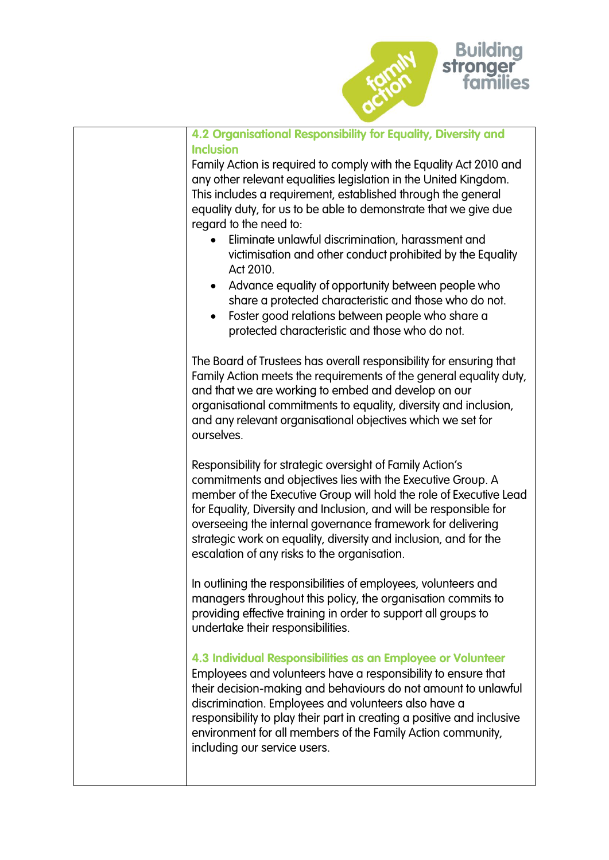

| 4.2 Organisational Responsibility for Equality, Diversity and<br><b>Inclusion</b><br>Family Action is required to comply with the Equality Act 2010 and<br>any other relevant equalities legislation in the United Kingdom.<br>This includes a requirement, established through the general<br>equality duty, for us to be able to demonstrate that we give due<br>regard to the need to:<br>Eliminate unlawful discrimination, harassment and<br>victimisation and other conduct prohibited by the Equality<br>Act 2010.<br>Advance equality of opportunity between people who<br>share a protected characteristic and those who do not.<br>Foster good relations between people who share a<br>protected characteristic and those who do not. |
|-------------------------------------------------------------------------------------------------------------------------------------------------------------------------------------------------------------------------------------------------------------------------------------------------------------------------------------------------------------------------------------------------------------------------------------------------------------------------------------------------------------------------------------------------------------------------------------------------------------------------------------------------------------------------------------------------------------------------------------------------|
| The Board of Trustees has overall responsibility for ensuring that<br>Family Action meets the requirements of the general equality duty,<br>and that we are working to embed and develop on our<br>organisational commitments to equality, diversity and inclusion,<br>and any relevant organisational objectives which we set for<br>ourselves.                                                                                                                                                                                                                                                                                                                                                                                                |
| Responsibility for strategic oversight of Family Action's<br>commitments and objectives lies with the Executive Group. A<br>member of the Executive Group will hold the role of Executive Lead<br>for Equality, Diversity and Inclusion, and will be responsible for<br>overseeing the internal governance framework for delivering<br>strategic work on equality, diversity and inclusion, and for the<br>escalation of any risks to the organisation.                                                                                                                                                                                                                                                                                         |
| In outlining the responsibilities of employees, volunteers and<br>managers throughout this policy, the organisation commits to<br>providing effective training in order to support all groups to<br>undertake their responsibilities.                                                                                                                                                                                                                                                                                                                                                                                                                                                                                                           |
| 4.3 Individual Responsibilities as an Employee or Volunteer<br>Employees and volunteers have a responsibility to ensure that<br>their decision-making and behaviours do not amount to unlawful<br>discrimination. Employees and volunteers also have a<br>responsibility to play their part in creating a positive and inclusive<br>environment for all members of the Family Action community,<br>including our service users.                                                                                                                                                                                                                                                                                                                 |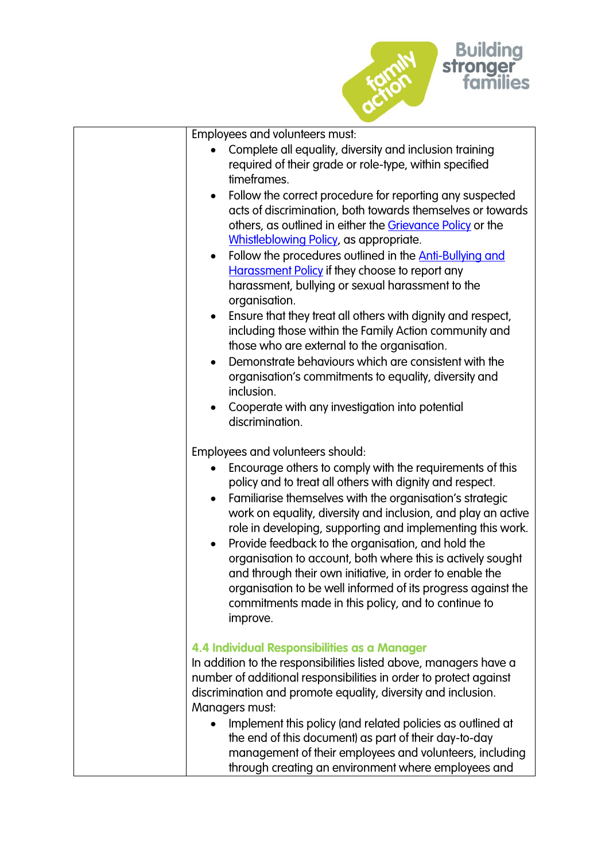

| Employees and volunteers must:                                                                                                                                                                                                                                                                                                                                                                                                                                                                                                                                                                                                                                                                                                                                                                                            |
|---------------------------------------------------------------------------------------------------------------------------------------------------------------------------------------------------------------------------------------------------------------------------------------------------------------------------------------------------------------------------------------------------------------------------------------------------------------------------------------------------------------------------------------------------------------------------------------------------------------------------------------------------------------------------------------------------------------------------------------------------------------------------------------------------------------------------|
| Complete all equality, diversity and inclusion training<br>required of their grade or role-type, within specified<br>timeframes.                                                                                                                                                                                                                                                                                                                                                                                                                                                                                                                                                                                                                                                                                          |
| Follow the correct procedure for reporting any suspected<br>acts of discrimination, both towards themselves or towards<br>others, as outlined in either the Grievance Policy or the<br><b>Whistleblowing Policy</b> , as appropriate.<br>Follow the procedures outlined in the <b>Anti-Bullying and</b><br>$\bullet$<br><b>Harassment Policy if they choose to report any</b><br>harassment, bullying or sexual harassment to the<br>organisation.<br>Ensure that they treat all others with dignity and respect,<br>$\bullet$<br>including those within the Family Action community and<br>those who are external to the organisation.<br>Demonstrate behaviours which are consistent with the<br>organisation's commitments to equality, diversity and<br>inclusion.<br>Cooperate with any investigation into potential |
| discrimination.                                                                                                                                                                                                                                                                                                                                                                                                                                                                                                                                                                                                                                                                                                                                                                                                           |
| Employees and volunteers should:                                                                                                                                                                                                                                                                                                                                                                                                                                                                                                                                                                                                                                                                                                                                                                                          |
| Encourage others to comply with the requirements of this<br>policy and to treat all others with dignity and respect.<br>Familiarise themselves with the organisation's strategic<br>$\bullet$<br>work on equality, diversity and inclusion, and play an active<br>role in developing, supporting and implementing this work.<br>Provide feedback to the organisation, and hold the<br>$\bullet$<br>organisation to account, both where this is actively sought<br>and through their own initiative, in order to enable the<br>organisation to be well informed of its progress against the<br>commitments made in this policy, and to continue to<br>improve.                                                                                                                                                             |
| 4.4 Individual Responsibilities as a Manager<br>In addition to the responsibilities listed above, managers have a<br>number of additional responsibilities in order to protect against<br>discrimination and promote equality, diversity and inclusion.<br>Managers must:                                                                                                                                                                                                                                                                                                                                                                                                                                                                                                                                                 |
| Implement this policy (and related policies as outlined at<br>the end of this document) as part of their day-to-day<br>management of their employees and volunteers, including<br>through creating an environment where employees and                                                                                                                                                                                                                                                                                                                                                                                                                                                                                                                                                                                     |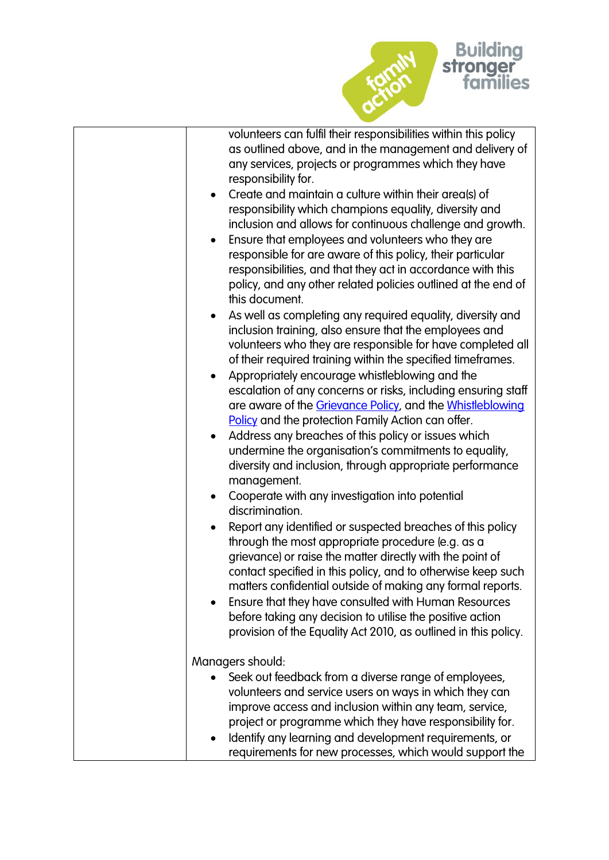

| volunteers can fulfil their responsibilities within this policy<br>as outlined above, and in the management and delivery of<br>any services, projects or programmes which they have<br>responsibility for.                                                                                                                                                                                                                                                                                         |
|----------------------------------------------------------------------------------------------------------------------------------------------------------------------------------------------------------------------------------------------------------------------------------------------------------------------------------------------------------------------------------------------------------------------------------------------------------------------------------------------------|
| Create and maintain a culture within their area(s) of<br>$\bullet$<br>responsibility which champions equality, diversity and<br>inclusion and allows for continuous challenge and growth.<br>Ensure that employees and volunteers who they are<br>responsible for are aware of this policy, their particular<br>responsibilities, and that they act in accordance with this<br>policy, and any other related policies outlined at the end of                                                       |
| this document.<br>As well as completing any required equality, diversity and<br>inclusion training, also ensure that the employees and<br>volunteers who they are responsible for have completed all<br>of their required training within the specified timeframes.                                                                                                                                                                                                                                |
| Appropriately encourage whistleblowing and the<br>escalation of any concerns or risks, including ensuring staff<br>are aware of the Grievance Policy, and the Whistleblowing<br>Policy and the protection Family Action can offer.                                                                                                                                                                                                                                                                 |
| Address any breaches of this policy or issues which<br>undermine the organisation's commitments to equality,<br>diversity and inclusion, through appropriate performance<br>management.                                                                                                                                                                                                                                                                                                            |
| Cooperate with any investigation into potential<br>$\bullet$<br>discrimination.                                                                                                                                                                                                                                                                                                                                                                                                                    |
| Report any identified or suspected breaches of this policy<br>through the most appropriate procedure (e.g. as a<br>grievance) or raise the matter directly with the point of<br>contact specified in this policy, and to otherwise keep such<br>matters confidential outside of making any formal reports.<br>Ensure that they have consulted with Human Resources<br>before taking any decision to utilise the positive action<br>provision of the Equality Act 2010, as outlined in this policy. |
| Managers should:                                                                                                                                                                                                                                                                                                                                                                                                                                                                                   |
| Seek out feedback from a diverse range of employees,<br>volunteers and service users on ways in which they can<br>improve access and inclusion within any team, service,<br>project or programme which they have responsibility for.<br>Identify any learning and development requirements, or<br>requirements for new processes, which would support the                                                                                                                                          |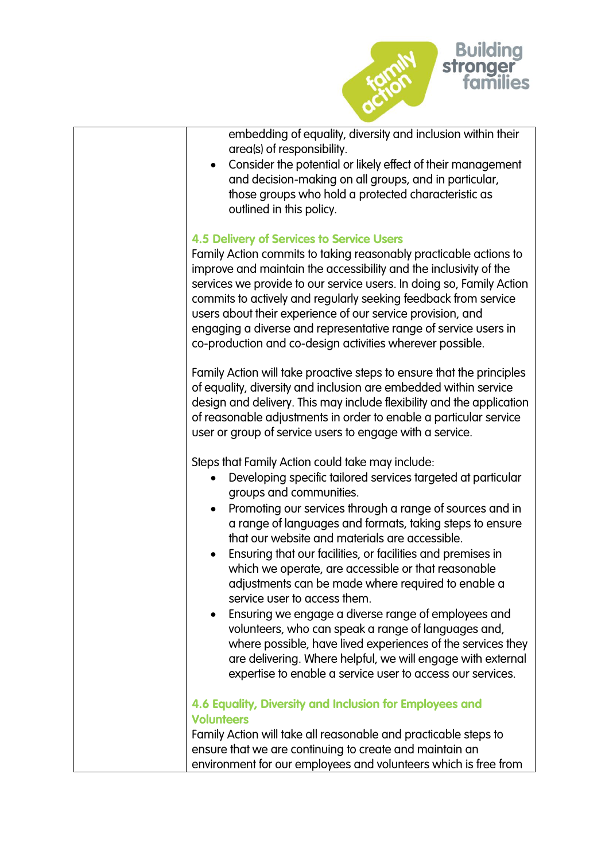

embedding of equality, diversity and inclusion within their area(s) of responsibility.

 Consider the potential or likely effect of their management and decision-making on all groups, and in particular, those groups who hold a protected characteristic as outlined in this policy.

# **4.5 Delivery of Services to Service Users**

Family Action commits to taking reasonably practicable actions to improve and maintain the accessibility and the inclusivity of the services we provide to our service users. In doing so, Family Action commits to actively and regularly seeking feedback from service users about their experience of our service provision, and engaging a diverse and representative range of service users in co-production and co-design activities wherever possible.

Family Action will take proactive steps to ensure that the principles of equality, diversity and inclusion are embedded within service design and delivery. This may include flexibility and the application of reasonable adjustments in order to enable a particular service user or group of service users to engage with a service.

Steps that Family Action could take may include:

- Developing specific tailored services targeted at particular groups and communities.
- Promoting our services through a range of sources and in a range of languages and formats, taking steps to ensure that our website and materials are accessible.
- Ensuring that our facilities, or facilities and premises in which we operate, are accessible or that reasonable adjustments can be made where required to enable a service user to access them.
- Ensuring we engage a diverse range of employees and volunteers, who can speak a range of languages and, where possible, have lived experiences of the services they are delivering. Where helpful, we will engage with external expertise to enable a service user to access our services.

# **4.6 Equality, Diversity and Inclusion for Employees and Volunteers**

Family Action will take all reasonable and practicable steps to ensure that we are continuing to create and maintain an environment for our employees and volunteers which is free from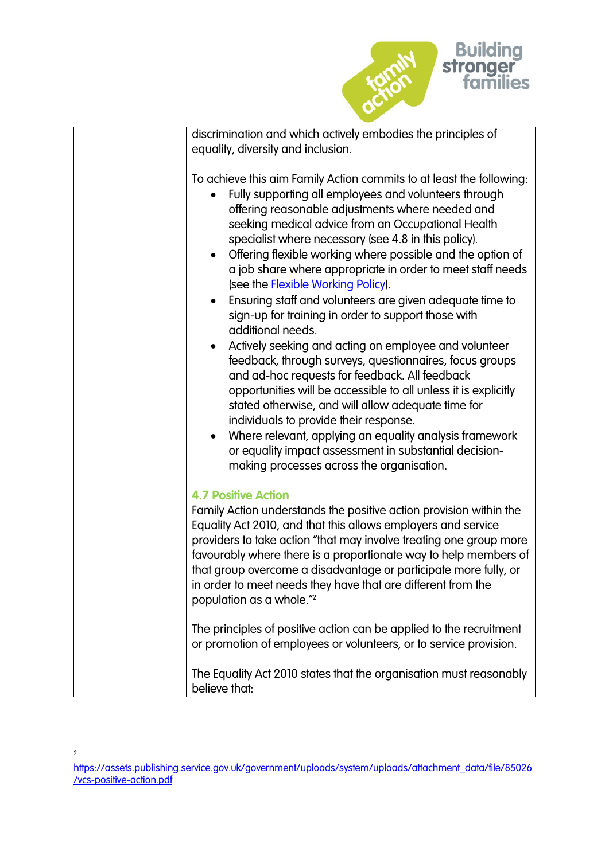

| discrimination and which actively embodies the principles of                                                                                                                                                                                                                                                                                                                                                                                                                                                                                                                                                                                                                                                                                                                                                                                                                                                                                                                                                                                                                                                                              |
|-------------------------------------------------------------------------------------------------------------------------------------------------------------------------------------------------------------------------------------------------------------------------------------------------------------------------------------------------------------------------------------------------------------------------------------------------------------------------------------------------------------------------------------------------------------------------------------------------------------------------------------------------------------------------------------------------------------------------------------------------------------------------------------------------------------------------------------------------------------------------------------------------------------------------------------------------------------------------------------------------------------------------------------------------------------------------------------------------------------------------------------------|
| equality, diversity and inclusion.                                                                                                                                                                                                                                                                                                                                                                                                                                                                                                                                                                                                                                                                                                                                                                                                                                                                                                                                                                                                                                                                                                        |
| To achieve this aim Family Action commits to at least the following:<br>Fully supporting all employees and volunteers through<br>offering reasonable adjustments where needed and<br>seeking medical advice from an Occupational Health<br>specialist where necessary (see 4.8 in this policy).<br>Offering flexible working where possible and the option of<br>a job share where appropriate in order to meet staff needs<br>(see the <b>Flexible Working Policy</b> ).<br>Ensuring staff and volunteers are given adequate time to<br>sign-up for training in order to support those with<br>additional needs.<br>Actively seeking and acting on employee and volunteer<br>feedback, through surveys, questionnaires, focus groups<br>and ad-hoc requests for feedback. All feedback<br>opportunities will be accessible to all unless it is explicitly<br>stated otherwise, and will allow adequate time for<br>individuals to provide their response.<br>Where relevant, applying an equality analysis framework<br>$\bullet$<br>or equality impact assessment in substantial decision-<br>making processes across the organisation. |
| <b>4.7 Positive Action</b><br>Family Action understands the positive action provision within the<br>Equality Act 2010, and that this allows employers and service<br>providers to take action "that may involve treating one group more<br>favourably where there is a proportionate way to help members of<br>that group overcome a disadvantage or participate more fully, or<br>in order to meet needs they have that are different from the<br>population as a whole." <sup>2</sup>                                                                                                                                                                                                                                                                                                                                                                                                                                                                                                                                                                                                                                                   |
| The principles of positive action can be applied to the recruitment<br>or promotion of employees or volunteers, or to service provision.                                                                                                                                                                                                                                                                                                                                                                                                                                                                                                                                                                                                                                                                                                                                                                                                                                                                                                                                                                                                  |
| The Equality Act 2010 states that the organisation must reasonably<br>believe that:                                                                                                                                                                                                                                                                                                                                                                                                                                                                                                                                                                                                                                                                                                                                                                                                                                                                                                                                                                                                                                                       |

 $\frac{1}{2}$ 

[https://assets.publishing.service.gov.uk/government/uploads/system/uploads/attachment\\_data/file/85026](https://assets.publishing.service.gov.uk/government/uploads/system/uploads/attachment_data/file/85026/vcs-positive-action.pdf) [/vcs-positive-action.pdf](https://assets.publishing.service.gov.uk/government/uploads/system/uploads/attachment_data/file/85026/vcs-positive-action.pdf)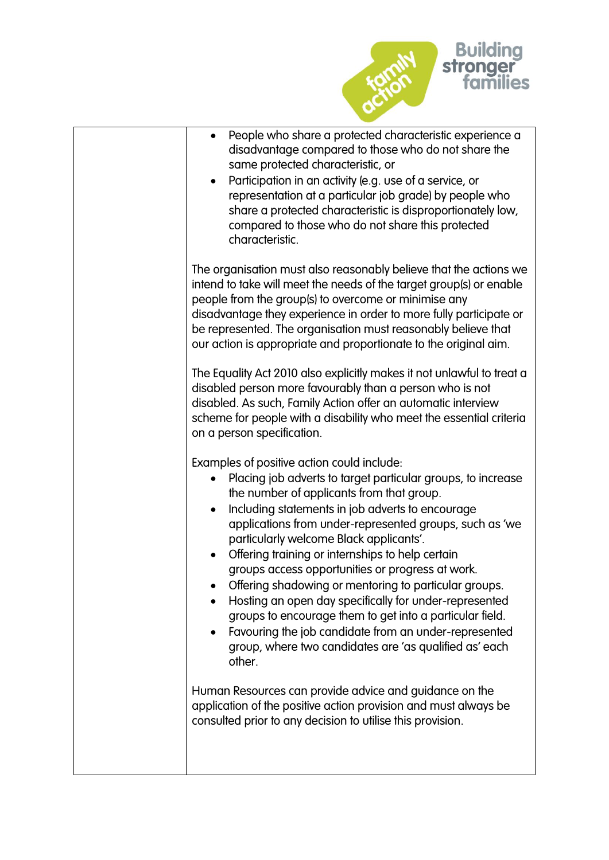

| People who share a protected characteristic experience a<br>disadvantage compared to those who do not share the<br>same protected characteristic, or<br>Participation in an activity (e.g. use of a service, or<br>representation at a particular job grade) by people who<br>share a protected characteristic is disproportionately low,<br>compared to those who do not share this protected<br>characteristic.                                                                                                                                                                                                                                                                                                                     |
|---------------------------------------------------------------------------------------------------------------------------------------------------------------------------------------------------------------------------------------------------------------------------------------------------------------------------------------------------------------------------------------------------------------------------------------------------------------------------------------------------------------------------------------------------------------------------------------------------------------------------------------------------------------------------------------------------------------------------------------|
| The organisation must also reasonably believe that the actions we<br>intend to take will meet the needs of the target group(s) or enable<br>people from the group(s) to overcome or minimise any<br>disadvantage they experience in order to more fully participate or<br>be represented. The organisation must reasonably believe that<br>our action is appropriate and proportionate to the original aim.                                                                                                                                                                                                                                                                                                                           |
| The Equality Act 2010 also explicitly makes it not unlawful to treat a<br>disabled person more favourably than a person who is not<br>disabled. As such, Family Action offer an automatic interview<br>scheme for people with a disability who meet the essential criteria<br>on a person specification.                                                                                                                                                                                                                                                                                                                                                                                                                              |
| Examples of positive action could include:<br>Placing job adverts to target particular groups, to increase<br>the number of applicants from that group.<br>Including statements in job adverts to encourage<br>applications from under-represented groups, such as 'we<br>particularly welcome Black applicants'.<br>Offering training or internships to help certain<br>groups access opportunities or progress at work.<br>Offering shadowing or mentoring to particular groups.<br>Hosting an open day specifically for under-represented<br>groups to encourage them to get into a particular field.<br>Favouring the job candidate from an under-represented<br>group, where two candidates are 'as qualified as' each<br>other. |
| Human Resources can provide advice and guidance on the<br>application of the positive action provision and must always be<br>consulted prior to any decision to utilise this provision.                                                                                                                                                                                                                                                                                                                                                                                                                                                                                                                                               |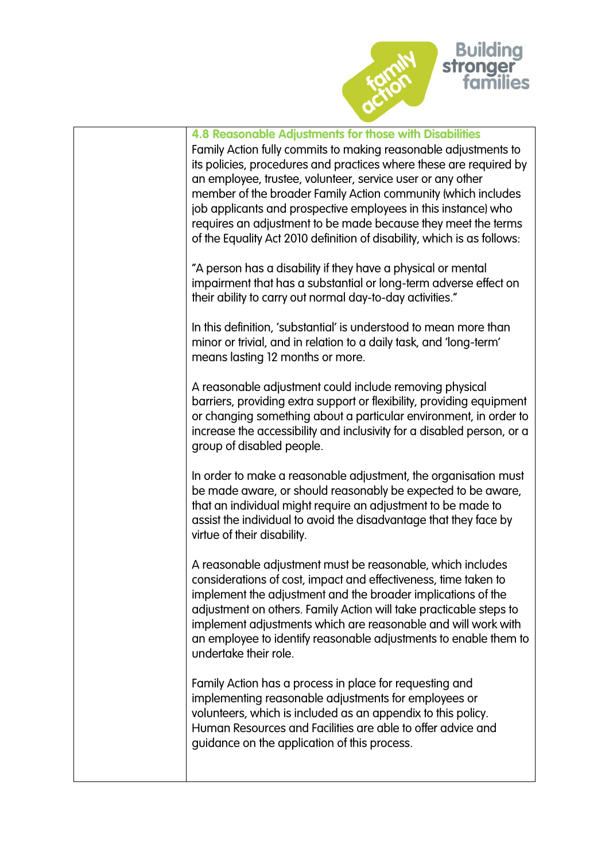

| 4.8 Reasonable Adjustments for those with Disabilities<br>Family Action fully commits to making reasonable adjustments to<br>its policies, procedures and practices where these are required by<br>an employee, trustee, volunteer, service user or any other<br>member of the broader Family Action community (which includes<br>job applicants and prospective employees in this instance) who<br>requires an adjustment to be made because they meet the terms<br>of the Equality Act 2010 definition of disability, which is as follows: |
|----------------------------------------------------------------------------------------------------------------------------------------------------------------------------------------------------------------------------------------------------------------------------------------------------------------------------------------------------------------------------------------------------------------------------------------------------------------------------------------------------------------------------------------------|
| "A person has a disability if they have a physical or mental<br>impairment that has a substantial or long-term adverse effect on<br>their ability to carry out normal day-to-day activities."                                                                                                                                                                                                                                                                                                                                                |
| In this definition, 'substantial' is understood to mean more than<br>minor or trivial, and in relation to a daily task, and 'long-term'<br>means lasting 12 months or more.                                                                                                                                                                                                                                                                                                                                                                  |
| A reasonable adjustment could include removing physical<br>barriers, providing extra support or flexibility, providing equipment<br>or changing something about a particular environment, in order to<br>increase the accessibility and inclusivity for a disabled person, or a<br>group of disabled people.                                                                                                                                                                                                                                 |
| In order to make a reasonable adjustment, the organisation must<br>be made aware, or should reasonably be expected to be aware,<br>that an individual might require an adjustment to be made to<br>assist the individual to avoid the disadvantage that they face by<br>virtue of their disability.                                                                                                                                                                                                                                          |
| A reasonable adjustment must be reasonable, which includes<br>considerations of cost, impact and effectiveness, time taken to<br>implement the adjustment and the broader implications of the<br>adjustment on others. Family Action will take practicable steps to<br>implement adjustments which are reasonable and will work with<br>an employee to identify reasonable adjustments to enable them to<br>undertake their role.                                                                                                            |
| Family Action has a process in place for requesting and<br>implementing reasonable adjustments for employees or<br>volunteers, which is included as an appendix to this policy.<br>Human Resources and Facilities are able to offer advice and<br>guidance on the application of this process.                                                                                                                                                                                                                                               |
|                                                                                                                                                                                                                                                                                                                                                                                                                                                                                                                                              |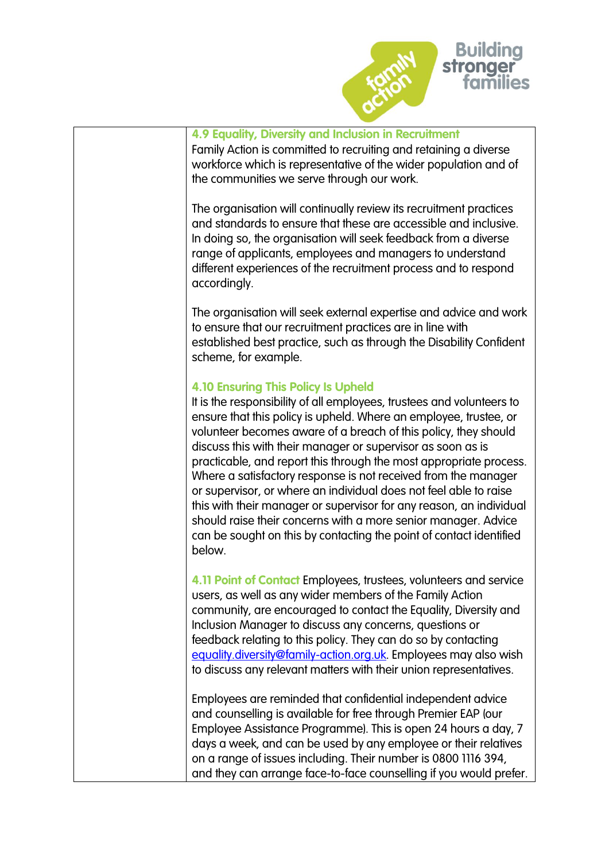

| 4.9 Equality, Diversity and Inclusion in Recruitment<br>Family Action is committed to recruiting and retaining a diverse<br>workforce which is representative of the wider population and of<br>the communities we serve through our work.                                                                                                                                                                                                                                                                                                                                                                                                                                                                                                                        |
|-------------------------------------------------------------------------------------------------------------------------------------------------------------------------------------------------------------------------------------------------------------------------------------------------------------------------------------------------------------------------------------------------------------------------------------------------------------------------------------------------------------------------------------------------------------------------------------------------------------------------------------------------------------------------------------------------------------------------------------------------------------------|
| The organisation will continually review its recruitment practices<br>and standards to ensure that these are accessible and inclusive.<br>In doing so, the organisation will seek feedback from a diverse<br>range of applicants, employees and managers to understand<br>different experiences of the recruitment process and to respond<br>accordingly.                                                                                                                                                                                                                                                                                                                                                                                                         |
| The organisation will seek external expertise and advice and work<br>to ensure that our recruitment practices are in line with<br>established best practice, such as through the Disability Confident<br>scheme, for example.                                                                                                                                                                                                                                                                                                                                                                                                                                                                                                                                     |
| <b>4.10 Ensuring This Policy Is Upheld</b><br>It is the responsibility of all employees, trustees and volunteers to<br>ensure that this policy is upheld. Where an employee, trustee, or<br>volunteer becomes aware of a breach of this policy, they should<br>discuss this with their manager or supervisor as soon as is<br>practicable, and report this through the most appropriate process.<br>Where a satisfactory response is not received from the manager<br>or supervisor, or where an individual does not feel able to raise<br>this with their manager or supervisor for any reason, an individual<br>should raise their concerns with a more senior manager. Advice<br>can be sought on this by contacting the point of contact identified<br>below. |
| 4.11 Point of Contact Employees, trustees, volunteers and service<br>users, as well as any wider members of the Family Action<br>community, are encouraged to contact the Equality, Diversity and<br>Inclusion Manager to discuss any concerns, questions or<br>feedback relating to this policy. They can do so by contacting<br>equality.diversity@family-action.org.uk. Employees may also wish<br>to discuss any relevant matters with their union representatives.                                                                                                                                                                                                                                                                                           |
| Employees are reminded that confidential independent advice<br>and counselling is available for free through Premier EAP (our<br>Employee Assistance Programme). This is open 24 hours a day, 7<br>days a week, and can be used by any employee or their relatives<br>on a range of issues including. Their number is 0800 1116 394,<br>and they can arrange face-to-face counselling if you would prefer.                                                                                                                                                                                                                                                                                                                                                        |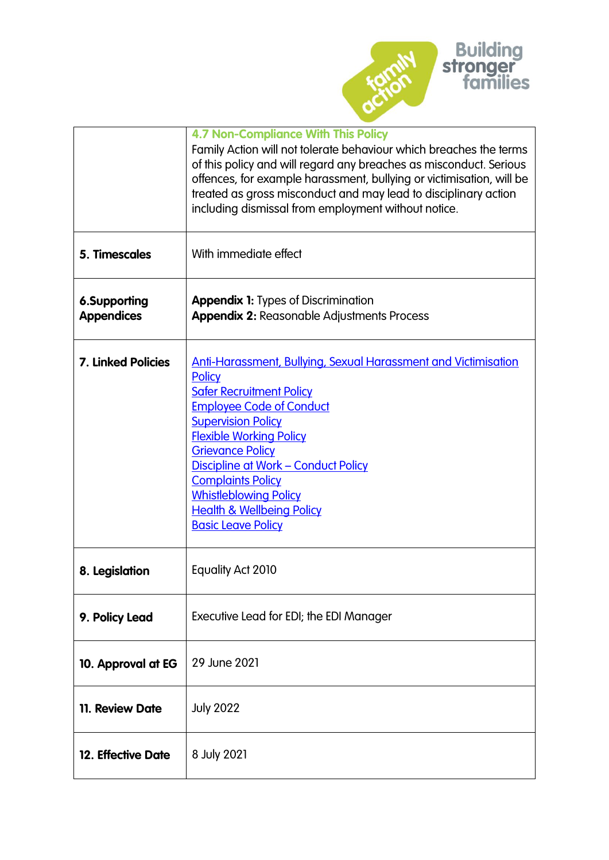

|                                   | <b>4.7 Non-Compliance With This Policy</b><br>Family Action will not tolerate behaviour which breaches the terms<br>of this policy and will regard any breaches as misconduct. Serious<br>offences, for example harassment, bullying or victimisation, will be<br>treated as gross misconduct and may lead to disciplinary action<br>including dismissal from employment without notice.                                |
|-----------------------------------|-------------------------------------------------------------------------------------------------------------------------------------------------------------------------------------------------------------------------------------------------------------------------------------------------------------------------------------------------------------------------------------------------------------------------|
| 5. Timescales                     | With immediate effect                                                                                                                                                                                                                                                                                                                                                                                                   |
| 6.Supporting<br><b>Appendices</b> | <b>Appendix 1:</b> Types of Discrimination<br><b>Appendix 2: Reasonable Adjustments Process</b>                                                                                                                                                                                                                                                                                                                         |
| <b>7. Linked Policies</b>         | Anti-Harassment, Bullying, Sexual Harassment and Victimisation<br><b>Policy</b><br><b>Safer Recruitment Policy</b><br><b>Employee Code of Conduct</b><br><b>Supervision Policy</b><br><b>Flexible Working Policy</b><br><b>Grievance Policy</b><br>Discipline at Work - Conduct Policy<br><b>Complaints Policy</b><br><b>Whistleblowing Policy</b><br><b>Health &amp; Wellbeing Policy</b><br><b>Basic Leave Policy</b> |
| 8. Legislation                    | Equality Act 2010                                                                                                                                                                                                                                                                                                                                                                                                       |
| 9. Policy Lead                    | Executive Lead for EDI; the EDI Manager                                                                                                                                                                                                                                                                                                                                                                                 |
| 10. Approval at EG                | 29 June 2021                                                                                                                                                                                                                                                                                                                                                                                                            |
| 11. Review Date                   | <b>July 2022</b>                                                                                                                                                                                                                                                                                                                                                                                                        |
| 12. Effective Date                | 8 July 2021                                                                                                                                                                                                                                                                                                                                                                                                             |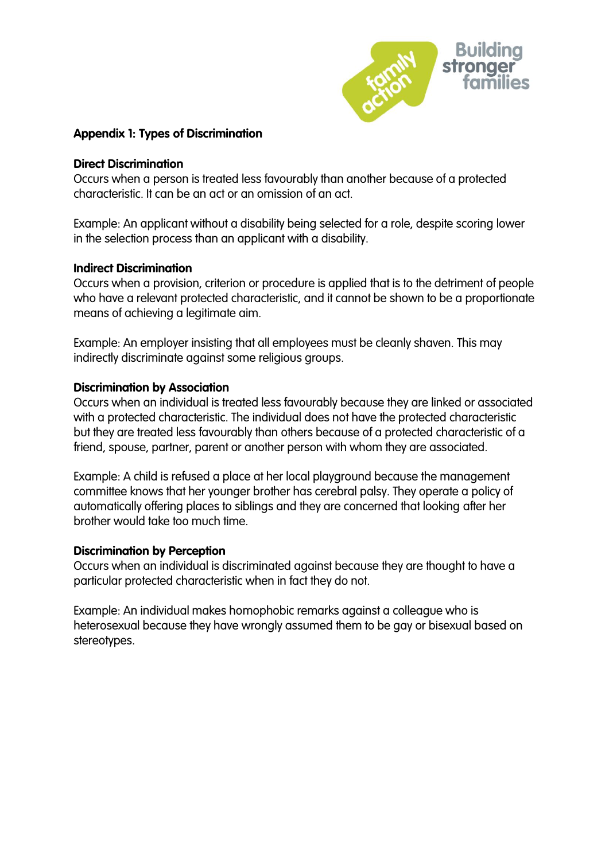

# **Appendix 1: Types of Discrimination**

#### **Direct Discrimination**

Occurs when a person is treated less favourably than another because of a protected characteristic. It can be an act or an omission of an act.

Example: An applicant without a disability being selected for a role, despite scoring lower in the selection process than an applicant with a disability.

### **Indirect Discrimination**

Occurs when a provision, criterion or procedure is applied that is to the detriment of people who have a relevant protected characteristic, and it cannot be shown to be a proportionate means of achieving a legitimate aim.

Example: An employer insisting that all employees must be cleanly shaven. This may indirectly discriminate against some religious groups.

# **Discrimination by Association**

Occurs when an individual is treated less favourably because they are linked or associated with a protected characteristic. The individual does not have the protected characteristic but they are treated less favourably than others because of a protected characteristic of a friend, spouse, partner, parent or another person with whom they are associated.

Example: A child is refused a place at her local playground because the management committee knows that her younger brother has cerebral palsy. They operate a policy of automatically offering places to siblings and they are concerned that looking after her brother would take too much time.

### **Discrimination by Perception**

Occurs when an individual is discriminated against because they are thought to have a particular protected characteristic when in fact they do not.

Example: An individual makes homophobic remarks against a colleague who is heterosexual because they have wrongly assumed them to be gay or bisexual based on stereotypes.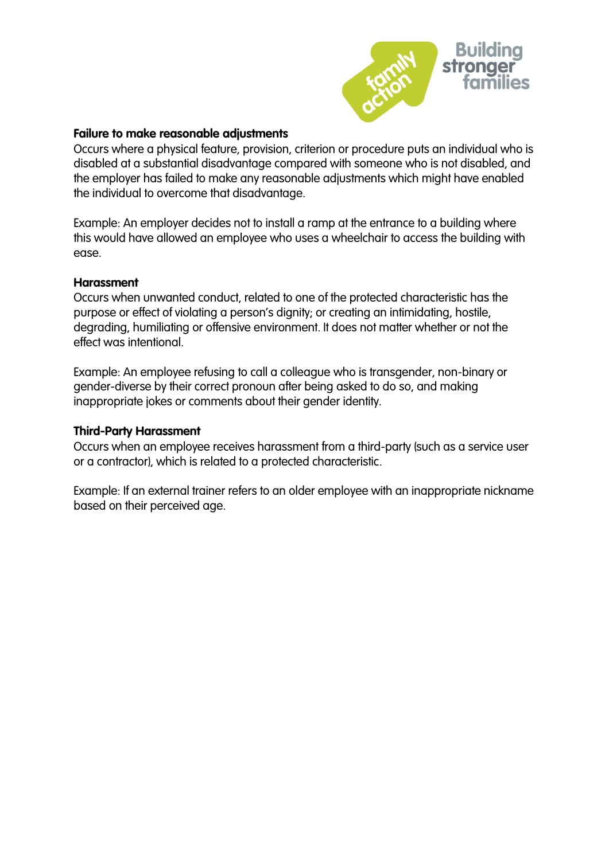

#### **Failure to make reasonable adjustments**

Occurs where a physical feature, provision, criterion or procedure puts an individual who is disabled at a substantial disadvantage compared with someone who is not disabled, and the employer has failed to make any reasonable adjustments which might have enabled the individual to overcome that disadvantage.

Example: An employer decides not to install a ramp at the entrance to a building where this would have allowed an employee who uses a wheelchair to access the building with ease.

#### **Harassment**

Occurs when unwanted conduct, related to one of the protected characteristic has the purpose or effect of violating a person's dignity; or creating an intimidating, hostile, degrading, humiliating or offensive environment. It does not matter whether or not the effect was intentional.

Example: An employee refusing to call a colleague who is transgender, non-binary or gender-diverse by their correct pronoun after being asked to do so, and making inappropriate jokes or comments about their gender identity.

#### **Third-Party Harassment**

Occurs when an employee receives harassment from a third-party (such as a service user or a contractor), which is related to a protected characteristic.

Example: If an external trainer refers to an older employee with an inappropriate nickname based on their perceived age.